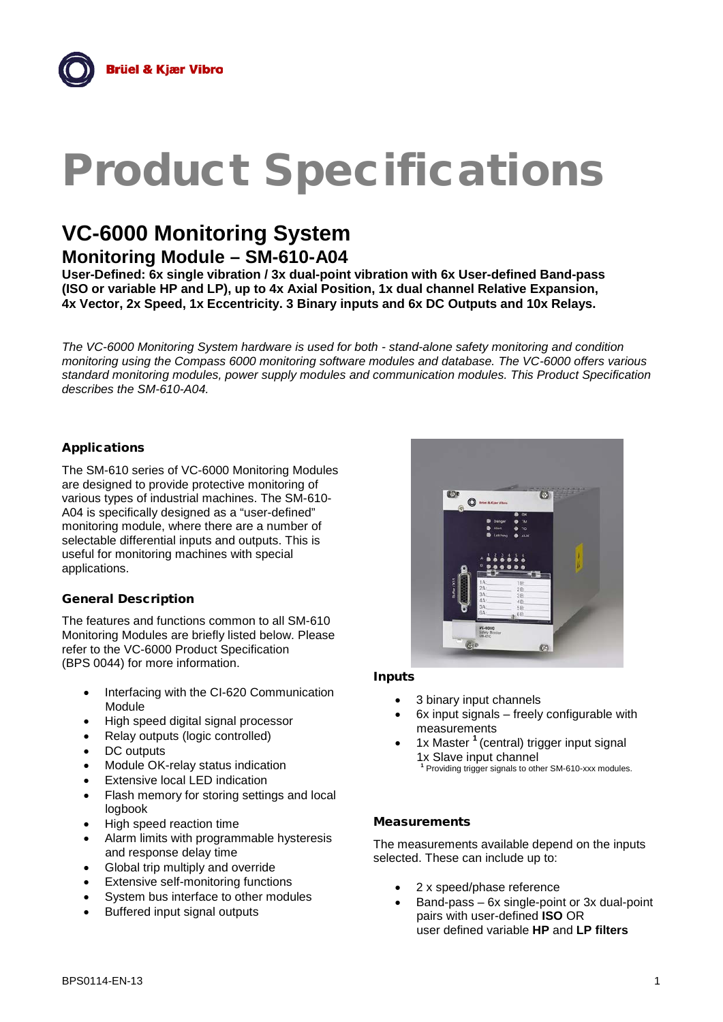# Product Specifications

# **VC-6000 Monitoring System**

**Monitoring Module – SM-610-A04**

**User-Defined: 6x single vibration / 3x dual-point vibration with 6x User-defined Band-pass (ISO or variable HP and LP), up to 4x Axial Position, 1x dual channel Relative Expansion, 4x Vector, 2x Speed, 1x Eccentricity. 3 Binary inputs and 6x DC Outputs and 10x Relays.**

*The VC-6000 Monitoring System hardware is used for both - stand-alone safety monitoring and condition monitoring using the Compass 6000 monitoring software modules and database. The VC-6000 offers various standard monitoring modules, power supply modules and communication modules. This Product Specification describes the SM-610-A04.*

# Applications

The SM-610 series of VC-6000 Monitoring Modules are designed to provide protective monitoring of various types of industrial machines. The SM-610- A04 is specifically designed as a "user-defined" monitoring module, where there are a number of selectable differential inputs and outputs. This is useful for monitoring machines with special applications.

# General Description

The features and functions common to all SM-610 Monitoring Modules are briefly listed below. Please refer to the VC-6000 Product Specification (BPS 0044) for more information.

- Interfacing with the CI-620 Communication Module
- High speed digital signal processor
- Relay outputs (logic controlled)
- DC outputs
- Module OK-relay status indication
- **Extensive local LED indication**
- Flash memory for storing settings and local logbook
- High speed reaction time
- Alarm limits with programmable hysteresis and response delay time
- Global trip multiply and override
- **Extensive self-monitoring functions**
- System bus interface to other modules
- Buffered input signal outputs



#### Inputs

- 3 binary input channels
- $6x$  input signals  $-$  freely configurable with measurements
- 1x Master **<sup>1</sup>** (central) trigger input signal 1x Slave input channel **<sup>1</sup>** Providing trigger signals to other SM-610-xxx modules.
	-

# **Measurements**

The measurements available depend on the inputs selected. These can include up to:

- 2 x speed/phase reference
- Band-pass 6x single-point or 3x dual-point pairs with user-defined **ISO** OR user defined variable **HP** and **LP filters**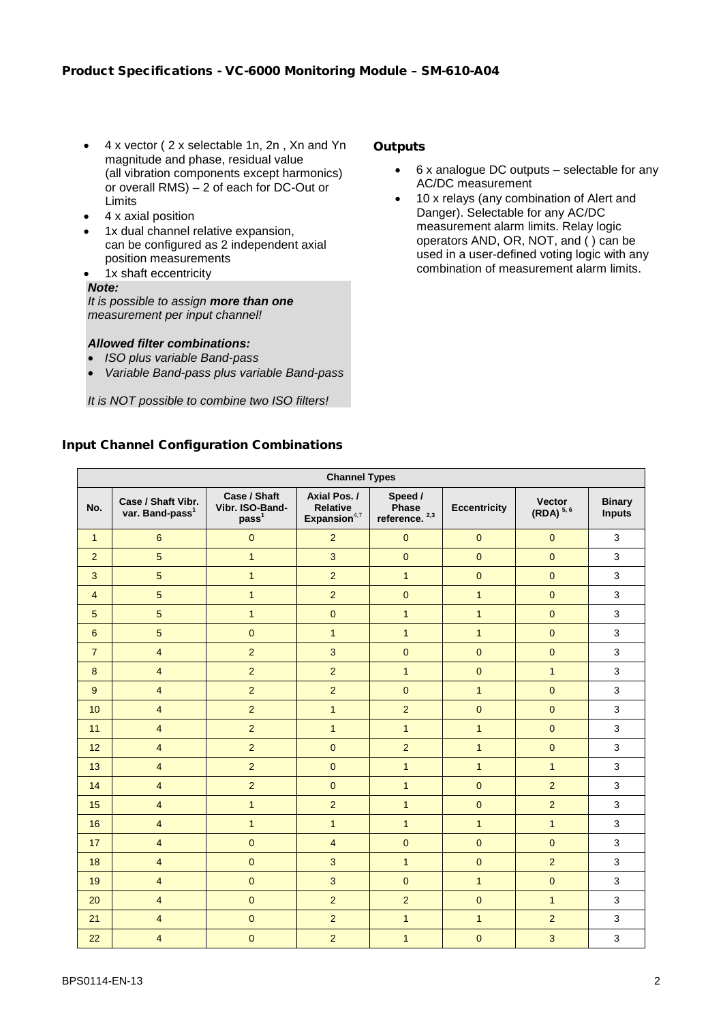- 4 x vector ( 2 x selectable 1n, 2n , Xn and Yn magnitude and phase, residual value (all vibration components except harmonics) or overall RMS) – 2 of each for DC-Out or Limits
- 4 x axial position
- 1x dual channel relative expansion, can be configured as 2 independent axial position measurements
- 1x shaft eccentricity

# *Note:*

*It is possible to assign more than one measurement per input channel!*

- *Allowed filter combinations:*
- *ISO plus variable Band-pass*
- *Variable Band-pass plus variable Band-pass*

*It is NOT possible to combine two ISO filters!*

# **Outputs**

- 6 x analogue DC outputs selectable for any AC/DC measurement
- 10 x relays (any combination of Alert and Danger). Selectable for any AC/DC measurement alarm limits. Relay logic operators AND, OR, NOT, and ( ) can be used in a user-defined voting logic with any combination of measurement alarm limits.

# Input Channel Configuration Combinations

| <b>Channel Types</b> |                                                   |                                                      |                                                   |                                      |                     |                                |                                |
|----------------------|---------------------------------------------------|------------------------------------------------------|---------------------------------------------------|--------------------------------------|---------------------|--------------------------------|--------------------------------|
| No.                  | Case / Shaft Vibr.<br>var. Band-pass <sup>1</sup> | Case / Shaft<br>Vibr. ISO-Band-<br>pass <sup>1</sup> | Axial Pos./<br><b>Relative</b><br>Expansion $4,7$ | Speed /<br>Phase<br>reference. $2,3$ | <b>Eccentricity</b> | <b>Vector</b><br>$(RDA)^{5,6}$ | <b>Binary</b><br><b>Inputs</b> |
| $\mathbf{1}$         | $\boldsymbol{6}$                                  | $\overline{0}$                                       | $\overline{2}$                                    | $\mathbf 0$                          | $\mathbf{0}$        | $\mathbf{0}$                   | 3                              |
| $\overline{2}$       | $5\overline{)}$                                   | $\overline{1}$                                       | $\overline{3}$                                    | $\mathbf{0}$                         | $\overline{0}$      | $\overline{0}$                 | 3                              |
| 3                    | $5\overline{)}$                                   | $\mathbf{1}$                                         | $\overline{2}$                                    | $\mathbf{1}$                         | $\overline{0}$      | $\overline{0}$                 | 3                              |
| $\overline{4}$       | $5\overline{)}$                                   | $\mathbf{1}$                                         | $\overline{2}$                                    | $\pmb{0}$                            | $\mathbf{1}$        | $\mathbf{0}$                   | $\mathbf{3}$                   |
| $\sqrt{5}$           | $5\phantom{.0}$                                   | $\mathbf{1}$                                         | $\mathbf{0}$                                      | $\mathbf{1}$                         | $\mathbf{1}$        | $\mathbf{0}$                   | $\mathbf{3}$                   |
| $6\phantom{1}$       | $\overline{5}$                                    | $\pmb{0}$                                            | $\mathbf{1}$                                      | $\mathbf{1}$                         | $\mathbf{1}$        | $\mathbf{0}$                   | $\mathbf{3}$                   |
| $\overline{7}$       | $\overline{4}$                                    | $\overline{2}$                                       | 3                                                 | $\mathbf{0}$                         | $\mathbf{0}$        | $\pmb{0}$                      | $\mathbf{3}$                   |
| 8                    | $\overline{4}$                                    | $\overline{2}$                                       | $\overline{2}$                                    | $\mathbf{1}$                         | $\pmb{0}$           | $\mathbf{1}$                   | 3                              |
| 9                    | $\overline{4}$                                    | $\overline{2}$                                       | $\overline{2}$                                    | $\overline{0}$                       | $\overline{1}$      | $\overline{0}$                 | 3                              |
| 10                   | $\overline{4}$                                    | $\overline{2}$                                       | $\mathbf{1}$                                      | $\overline{2}$                       | $\pmb{0}$           | $\pmb{0}$                      | $\mathbf{3}$                   |
| 11                   | $\overline{4}$                                    | $\overline{2}$                                       | $\mathbf{1}$                                      | $\mathbf{1}$                         | $\mathbf{1}$        | $\pmb{0}$                      | $\mathbf{3}$                   |
| 12                   | $\overline{\mathbf{4}}$                           | $\overline{2}$                                       | $\pmb{0}$                                         | $\overline{c}$                       | $\mathbf{1}$        | $\pmb{0}$                      | $\mathbf{3}$                   |
| 13                   | $\overline{4}$                                    | $\overline{2}$                                       | $\mathbf{0}$                                      | $\mathbf{1}$                         | $\mathbf{1}$        | $\mathbf{1}$                   | $\mathsf 3$                    |
| 14                   | $\overline{4}$                                    | $\overline{2}$                                       | $\pmb{0}$                                         | $\mathbf{1}$                         | $\pmb{0}$           | $\overline{2}$                 | $\mathbf{3}$                   |
| 15                   | $\overline{4}$                                    | $\overline{1}$                                       | 2                                                 | $\mathbf{1}$                         | $\overline{0}$      | $\overline{2}$                 | 3                              |
| 16                   | $\overline{4}$                                    | $\overline{1}$                                       | $\mathbf{1}$                                      | $\mathbf{1}$                         | $\overline{1}$      | $\mathbf{1}$                   | 3                              |
| 17                   | $\overline{4}$                                    | $\pmb{0}$                                            | $\overline{4}$                                    | $\pmb{0}$                            | $\pmb{0}$           | $\mathbf{0}$                   | $\mathbf{3}$                   |
| 18                   | $\overline{4}$                                    | $\pmb{0}$                                            | 3                                                 | $\mathbf{1}$                         | $\pmb{0}$           | $\overline{c}$                 | $\mathbf{3}$                   |
| 19                   | $\overline{4}$                                    | $\mathbf{0}$                                         | 3                                                 | $\mathbf{0}$                         | $\mathbf{1}$        | $\mathbf{0}$                   | 3                              |
| 20                   | $\overline{4}$                                    | $\mathbf{0}$                                         | $\overline{2}$                                    | $\overline{2}$                       | $\mathbf{0}$        | $\mathbf{1}$                   | $\mathbf{3}$                   |
| 21                   | $\overline{4}$                                    | $\mathbf 0$                                          | $\overline{2}$                                    | $\mathbf{1}$                         | $\overline{1}$      | $\overline{c}$                 | $\mathbf{3}$                   |
| 22                   | $\overline{4}$                                    | $\mathbf 0$                                          | $\overline{2}$                                    | $\mathbf{1}$                         | $\mathbf 0$         | 3                              | $\mathbf{3}$                   |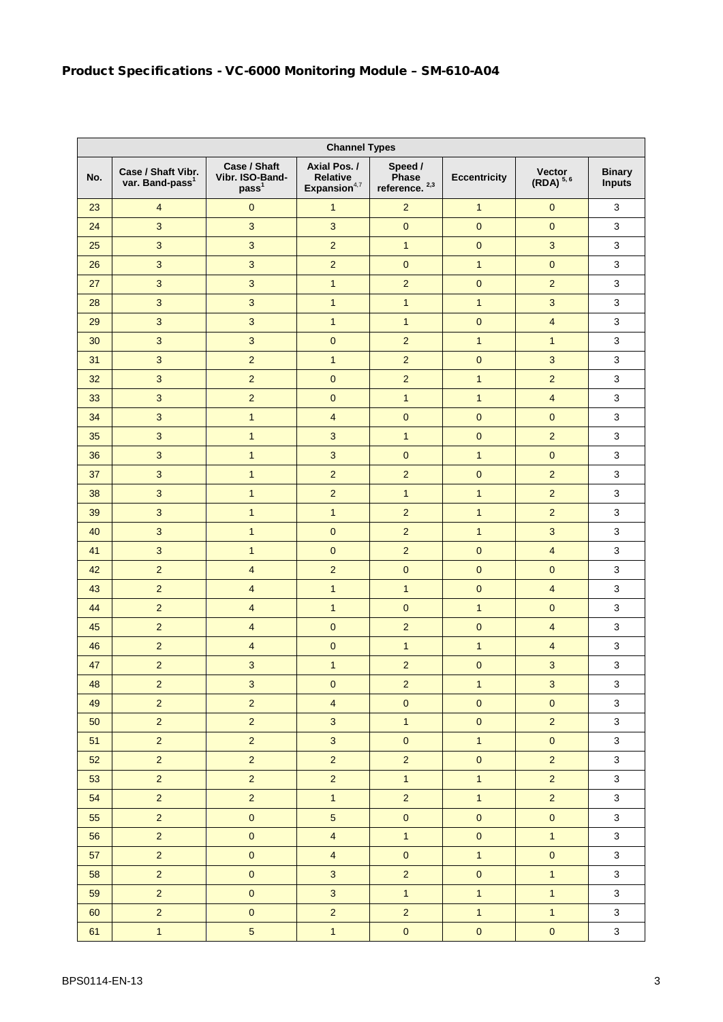| <b>Channel Types</b> |                                                   |                                                      |                                            |                                      |                     |                                |                                |
|----------------------|---------------------------------------------------|------------------------------------------------------|--------------------------------------------|--------------------------------------|---------------------|--------------------------------|--------------------------------|
| No.                  | Case / Shaft Vibr.<br>var. Band-pass <sup>1</sup> | Case / Shaft<br>Vibr. ISO-Band-<br>pass <sup>1</sup> | Axial Pos./<br>Relative<br>Expansion $4,7$ | Speed /<br>Phase<br>reference. $2,3$ | <b>Eccentricity</b> | Vector<br>(RDA) <sup>5,6</sup> | <b>Binary</b><br><b>Inputs</b> |
| 23                   | $\overline{4}$                                    | $\pmb{0}$                                            | $\mathbf{1}$                               | $\overline{2}$                       | $\mathbf{1}$        | $\pmb{0}$                      | 3                              |
| 24                   | 3                                                 | $\overline{3}$                                       | $\overline{3}$                             | $\mathbf 0$                          | $\pmb{0}$           | $\pmb{0}$                      | $\mathbf{3}$                   |
| 25                   | $\mathbf{3}$                                      | $\mathbf{3}$                                         | $\overline{2}$                             | $\mathbf{1}$                         | $\pmb{0}$           | $\sqrt{3}$                     | 3                              |
| 26                   | $\overline{3}$                                    | 3                                                    | $\overline{2}$                             | $\mathbf{0}$                         | 1                   | $\mathbf{0}$                   | $\mathbf{3}$                   |
| 27                   | 3                                                 | $\mathbf{3}$                                         | $\mathbf{1}$                               | $\overline{c}$                       | $\pmb{0}$           | $\overline{2}$                 | $\mathbf{3}$                   |
| 28                   | 3                                                 | $\mathbf{3}$                                         | $\mathbf{1}$                               | $\mathbf{1}$                         | $\mathbf{1}$        | $\mathbf{3}$                   | 3                              |
| 29                   | 3                                                 | $\mathbf{3}$                                         | $\mathbf{1}$                               | $\mathbf{1}$                         | $\pmb{0}$           | $\overline{\mathbf{4}}$        | $\sqrt{3}$                     |
| 30                   | 3                                                 | $\mathbf{3}$                                         | $\mathbf 0$                                | $\overline{2}$                       | 1                   | $\mathbf{1}$                   | 3                              |
| 31                   | $\mathbf{3}$                                      | $\overline{2}$                                       | $\mathbf{1}$                               | $\overline{2}$                       | $\pmb{0}$           | $\sqrt{3}$                     | 3                              |
| 32                   | 3                                                 | $\overline{2}$                                       | $\pmb{0}$                                  | $\overline{2}$                       | $\overline{1}$      | $\overline{2}$                 | $\mathbf{3}$                   |
| 33                   | 3                                                 | $\overline{2}$                                       | $\pmb{0}$                                  | $\overline{1}$                       | $\mathbf{1}$        | $\overline{4}$                 | $\mathbf{3}$                   |
| 34                   | 3                                                 | $\mathbf{1}$                                         | $\overline{4}$                             | $\mathbf{0}$                         | $\pmb{0}$           | $\mathbf 0$                    | 3                              |
| 35                   | $\mathbf{3}$                                      | $\mathbf{1}$                                         | 3                                          | $\mathbf{1}$                         | $\mathbf{0}$        | $\overline{2}$                 | $\sqrt{3}$                     |
| 36                   | 3                                                 | $\mathbf{1}$                                         | 3                                          | $\mathbf 0$                          | $\mathbf{1}$        | $\pmb{0}$                      | $\sqrt{3}$                     |
| 37                   | 3                                                 | $\mathbf{1}$                                         | $\overline{2}$                             | $\overline{2}$                       | $\pmb{0}$           | $\overline{2}$                 | $\sqrt{3}$                     |
| 38                   | $\mathbf{3}$                                      | $\mathbf{1}$                                         | $\overline{2}$                             | $\mathbf{1}$                         | $\mathbf{1}$        | $\overline{c}$                 | $\sqrt{3}$                     |
| 39                   | 3                                                 | $\mathbf{1}$                                         | $\mathbf{1}$                               | $\overline{2}$                       | $\mathbf{1}$        | $\overline{2}$                 | $\mathbf{3}$                   |
| 40                   | 3                                                 | $\mathbf{1}$                                         | $\pmb{0}$                                  | $\overline{2}$                       | $\mathbf{1}$        | $\mathbf{3}$                   | $\sqrt{3}$                     |
| 41                   | 3                                                 | $\mathbf{1}$                                         | $\mathbf 0$                                | $\overline{2}$                       | $\overline{0}$      | $\overline{\mathbf{4}}$        | $\mathbf{3}$                   |
| 42                   | $\overline{2}$                                    | $\overline{\mathbf{4}}$                              | $\overline{2}$                             | $\pmb{0}$                            | $\mathbf{0}$        | $\pmb{0}$                      | $\mathbf{3}$                   |
| 43                   | $\overline{2}$                                    | $\overline{\mathbf{4}}$                              | $\mathbf{1}$                               | $\mathbf{1}$                         | $\pmb{0}$           | $\overline{4}$                 | $\mathbf{3}$                   |
| 44                   | $\overline{2}$                                    | $\overline{4}$                                       | $\mathbf{1}$                               | $\mathbf{0}$                         | $\mathbf{1}$        | $\mathbf 0$                    | $\mathbf{3}$                   |
| 45                   | $\overline{2}$                                    | $\overline{4}$                                       | $\pmb{0}$                                  | $\overline{2}$                       | $\overline{0}$      | $\overline{\mathbf{4}}$        | $\mathbf{3}$                   |
| 46                   | $\overline{2}$                                    | $\overline{4}$                                       | $\pmb{0}$                                  | $\mathbf{1}$                         | $\mathbf{1}$        | $\overline{4}$                 | $\mathbf{3}$                   |
| 47                   | $\overline{2}$                                    | 3                                                    | $\mathbf{1}$                               | $\overline{2}$                       | $\overline{0}$      | $\mathbf{3}$                   | 3                              |
| 48                   | $\overline{c}$                                    | $\ensuremath{\mathsf{3}}$                            | $\pmb{0}$                                  | $\overline{\mathbf{c}}$              | $\mathbf{1}$        | $\mathsf 3$                    | 3                              |
| 49                   | $\overline{2}$                                    | $\overline{2}$                                       | $\overline{4}$                             | $\pmb{0}$                            | $\pmb{0}$           | $\pmb{0}$                      | $\mathbf{3}$                   |
| 50                   | $\overline{2}$                                    | $\overline{2}$                                       | $\overline{3}$                             | $\overline{1}$                       | $\pmb{0}$           | $\overline{2}$                 | $\mathbf{3}$                   |
| 51                   | $\overline{a}$                                    | $\overline{2}$                                       | 3 <sup>1</sup>                             | $\mathbf{0}$                         | $\mathbf{1}$        | $\pmb{0}$                      | $\mathbf{3}$                   |
| 52                   | $\overline{2}$                                    | $\overline{2}$                                       | $\overline{2}$                             | $\overline{2}$                       | $\pmb{0}$           | $\overline{2}$                 | $\mathbf{3}$                   |
| 53                   | $\overline{2}$                                    | $\overline{2}$                                       | $\overline{2}$                             | $\overline{1}$                       | $\mathbf{1}$        | $\overline{2}$                 | $\mathbf{3}$                   |
| 54                   | $\overline{2}$                                    | $\overline{2}$                                       | $\mathbf{1}$                               | $\overline{2}$                       | $\overline{1}$      | $\overline{2}$                 | $\mathbf{3}$                   |
| 55                   | $\overline{2}$                                    | $\mathbf 0$                                          | $5\overline{)}$                            | $\pmb{0}$                            | $\pmb{0}$           | $\pmb{0}$                      | $\mathbf{3}$                   |
| 56                   | $\overline{2}$                                    | $\pmb{0}$                                            | $\overline{4}$                             | $\overline{1}$                       | $\pmb{0}$           | $\overline{1}$                 | $\mathbf{3}$                   |
| 57                   | $\overline{2}$                                    | $\mathbf 0$                                          | $\overline{4}$                             | $\pmb{0}$                            | $\mathbf{1}$        | $\pmb{0}$                      | $\mathbf{3}$                   |
| 58                   | $\overline{2}$                                    | $\pmb{0}$                                            | $\overline{3}$                             | $\overline{2}$                       | $\pmb{0}$           | $\overline{1}$                 | $\mathsf 3$                    |
| 59                   | $\overline{a}$                                    | $\pmb{0}$                                            | 3 <sup>1</sup>                             | $\mathbf{1}$                         | $\overline{1}$      | $\overline{1}$                 | $\mathbf{3}$                   |
| 60                   | $\overline{2}$                                    | $\pmb{0}$                                            | $\overline{2}$                             | $\overline{2}$                       | $\overline{1}$      | $\mathbf{1}$                   | $\mathbf{3}$                   |
| 61                   | $\mathbf{1}$                                      | $\overline{5}$                                       | $\mathbf{1}$                               | $\pmb{0}$                            | $\pmb{0}$           | $\pmb{0}$                      | $\mathbf{3}$                   |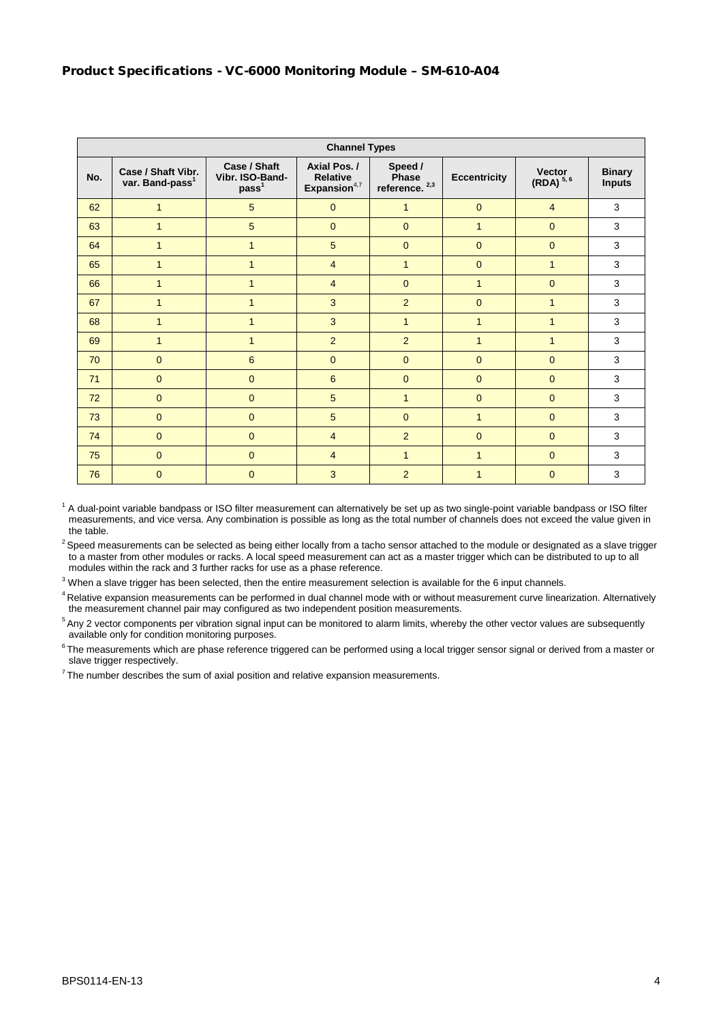|     | <b>Channel Types</b>                              |                                                      |                                                   |                                      |                     |                                |                                |
|-----|---------------------------------------------------|------------------------------------------------------|---------------------------------------------------|--------------------------------------|---------------------|--------------------------------|--------------------------------|
| No. | Case / Shaft Vibr.<br>var. Band-pass <sup>1</sup> | Case / Shaft<br>Vibr. ISO-Band-<br>pass <sup>1</sup> | Axial Pos./<br><b>Relative</b><br>Expansion $4,7$ | Speed /<br>Phase<br>reference. $2,3$ | <b>Eccentricity</b> | <b>Vector</b><br>$(RDA)^{5,6}$ | <b>Binary</b><br><b>Inputs</b> |
| 62  | $\mathbf{1}$                                      | 5                                                    | $\mathbf{0}$                                      | 1                                    | $\mathbf{0}$        | $\overline{4}$                 | 3                              |
| 63  | $\mathbf{1}$                                      | 5                                                    | $\Omega$                                          | $\Omega$                             | 1                   | $\Omega$                       | 3                              |
| 64  | $\mathbf 1$                                       | $\mathbf{1}$                                         | 5                                                 | $\Omega$                             | $\mathbf{0}$        | $\mathbf{0}$                   | 3                              |
| 65  | $\mathbf 1$                                       | $\mathbf{1}$                                         | $\overline{4}$                                    | $\mathbf{1}$                         | $\mathbf{0}$        | $\mathbf{1}$                   | 3                              |
| 66  | 1                                                 | $\mathbf{1}$                                         | $\overline{4}$                                    | $\mathbf{0}$                         | $\mathbf{1}$        | $\mathbf 0$                    | 3                              |
| 67  | 1                                                 | $\mathbf{1}$                                         | 3                                                 | $\overline{2}$                       | $\mathbf{0}$        | $\mathbf 1$                    | 3                              |
| 68  | 1                                                 | $\mathbf{1}$                                         | 3                                                 | $\mathbf{1}$                         | $\mathbf{1}$        | $\mathbf{1}$                   | 3                              |
| 69  | $\mathbf{1}$                                      | $\mathbf{1}$                                         | $\overline{2}$                                    | $\overline{2}$                       | $\mathbf{1}$        | $\mathbf{1}$                   | 3                              |
| 70  | $\mathbf{0}$                                      | 6                                                    | $\mathbf{0}$                                      | $\mathbf{0}$                         | $\mathbf{0}$        | $\mathbf 0$                    | 3                              |
| 71  | $\mathbf{0}$                                      | $\mathbf 0$                                          | 6                                                 | $\overline{0}$                       | $\mathbf{0}$        | $\mathbf{0}$                   | 3                              |
| 72  | $\overline{0}$                                    | $\overline{0}$                                       | 5                                                 | $\mathbf{1}$                         | $\overline{0}$      | $\mathbf{0}$                   | 3                              |
| 73  | $\overline{0}$                                    | $\overline{0}$                                       | 5                                                 | $\mathbf{0}$                         | $\mathbf{1}$        | $\mathbf{0}$                   | 3                              |
| 74  | $\overline{0}$                                    | $\overline{0}$                                       | $\overline{4}$                                    | $\overline{2}$                       | $\overline{0}$      | $\mathbf{0}$                   | 3                              |
| 75  | $\overline{0}$                                    | $\overline{0}$                                       | $\overline{4}$                                    | $\mathbf{1}$                         | $\mathbf{1}$        | $\mathbf{0}$                   | 3                              |
| 76  | $\mathbf{0}$                                      | $\overline{0}$                                       | 3                                                 | $\overline{2}$                       | $\mathbf{1}$        | $\overline{0}$                 | 3                              |

 $1$  A dual-point variable bandpass or ISO filter measurement can alternatively be set up as two single-point variable bandpass or ISO filter measurements, and vice versa. Any combination is possible as long as the total number of channels does not exceed the value given in the table.

<sup>2</sup> Speed measurements can be selected as being either locally from a tacho sensor attached to the module or designated as a slave trigger to a master from other modules or racks. A local speed measurement can act as a master trigger which can be distributed to up to all modules within the rack and 3 further racks for use as a phase reference.

 $3$  When a slave trigger has been selected, then the entire measurement selection is available for the 6 input channels.

<sup>4</sup> Relative expansion measurements can be performed in dual channel mode with or without measurement curve linearization. Alternatively the measurement channel pair may configured as two independent position measurements.

<sup>5</sup> Any 2 vector components per vibration signal input can be monitored to alarm limits, whereby the other vector values are subsequently available only for condition monitoring purposes.

 $6$ The measurements which are phase reference triggered can be performed using a local trigger sensor signal or derived from a master or slave trigger respectively.

 $7$ The number describes the sum of axial position and relative expansion measurements.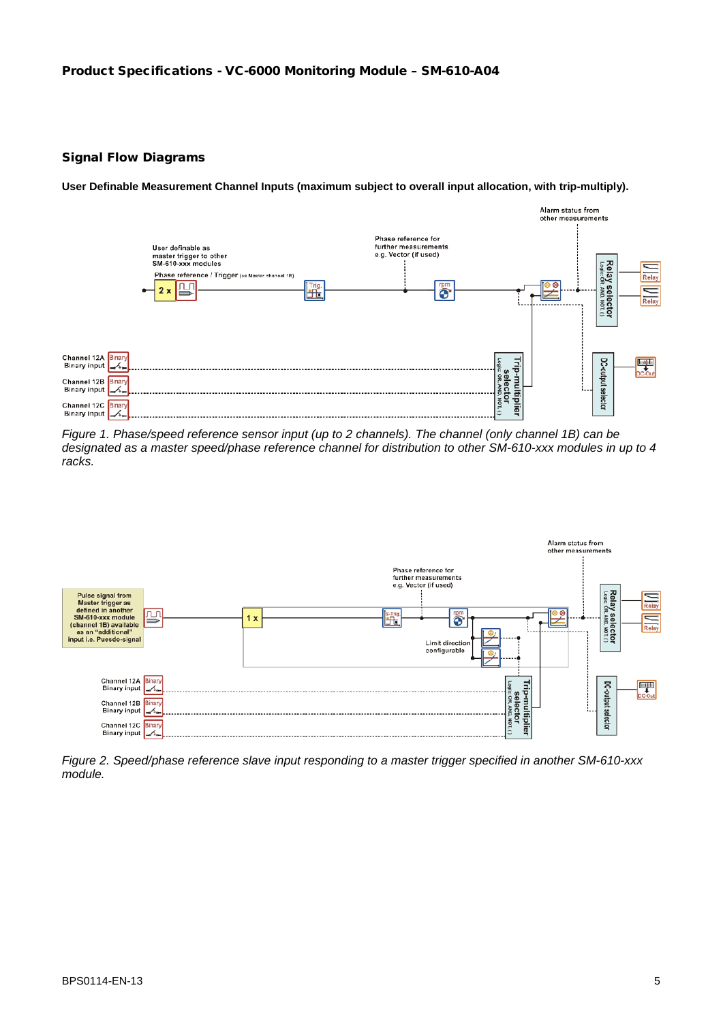#### Signal Flow Diagrams

**User Definable Measurement Channel Inputs (maximum subject to overall input allocation, with trip-multiply).**



*Figure 1. Phase/speed reference sensor input (up to 2 channels). The channel (only channel 1B) can be designated as a master speed/phase reference channel for distribution to other SM-610-xxx modules in up to 4 racks.*



*Figure 2. Speed/phase reference slave input responding to a master trigger specified in another SM-610-xxx module.*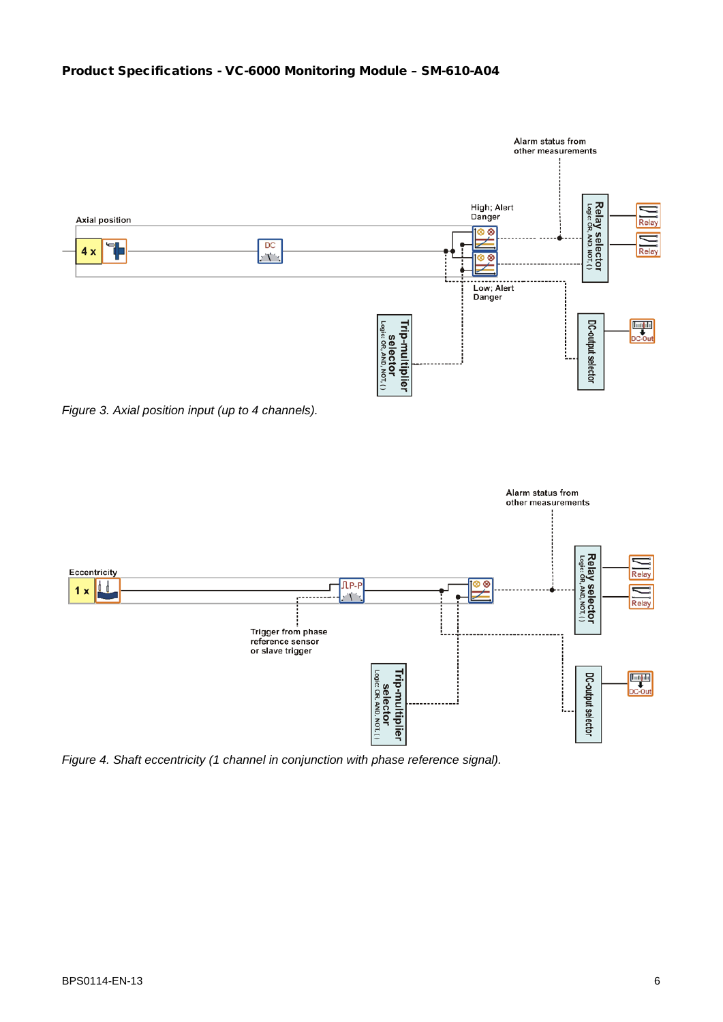# Product Specifications - VC-6000 Monitoring Module – SM-610-A04



*Figure 3. Axial position input (up to 4 channels).*



*Figure 4. Shaft eccentricity (1 channel in conjunction with phase reference signal).*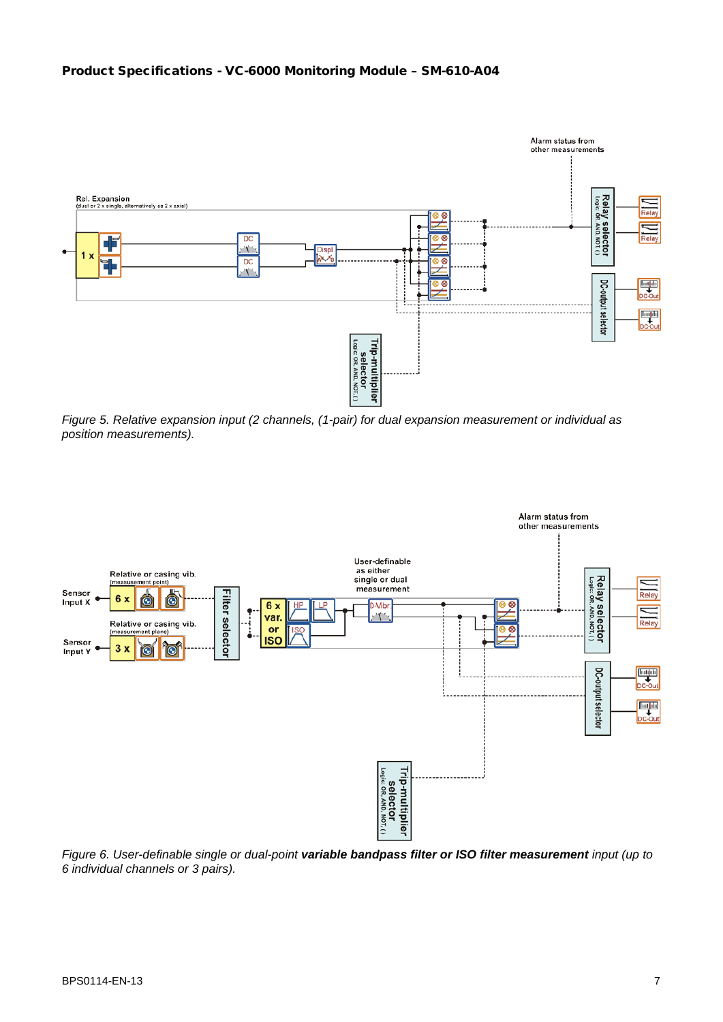#### Product Specifications - VC-6000 Monitoring Module – SM-610-A04



*Figure 5. Relative expansion input (2 channels, (1-pair) for dual expansion measurement or individual as position measurements).*



*Figure 6. User-definable single or dual-point variable bandpass filter or ISO filter measurement input (up to 6 individual channels or 3 pairs).*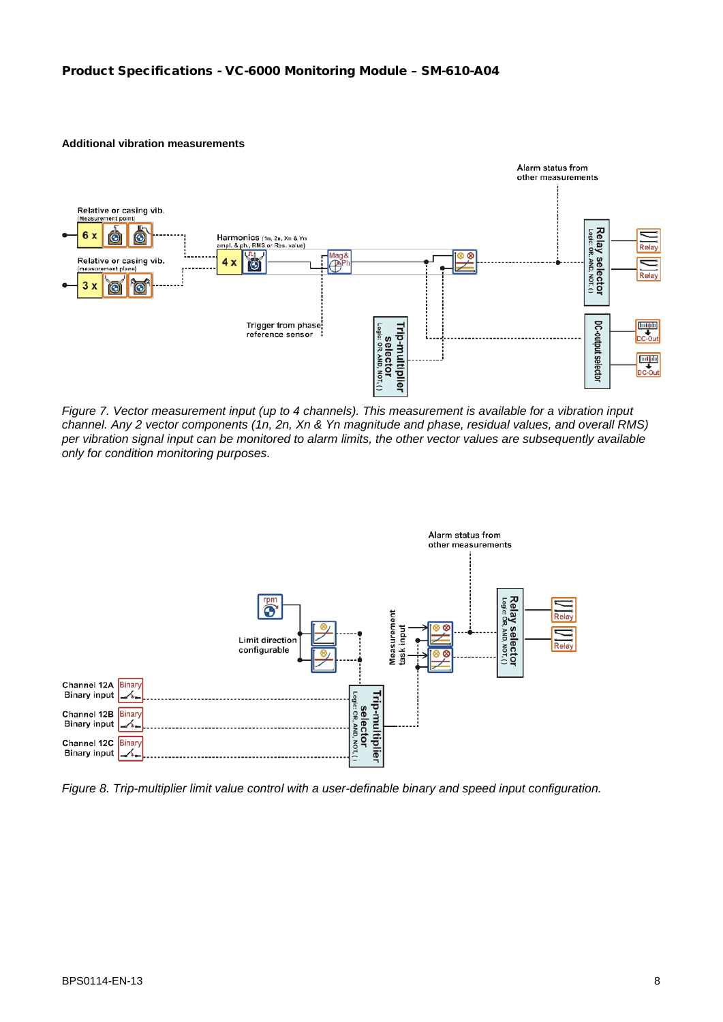#### **Additional vibration measurements**



*Figure 7. Vector measurement input (up to 4 channels). This measurement is available for a vibration input channel. Any 2 vector components (1n, 2n, Xn & Yn magnitude and phase, residual values, and overall RMS) per vibration signal input can be monitored to alarm limits, the other vector values are subsequently available only for condition monitoring purposes.*



*Figure 8. Trip-multiplier limit value control with a user-definable binary and speed input configuration.*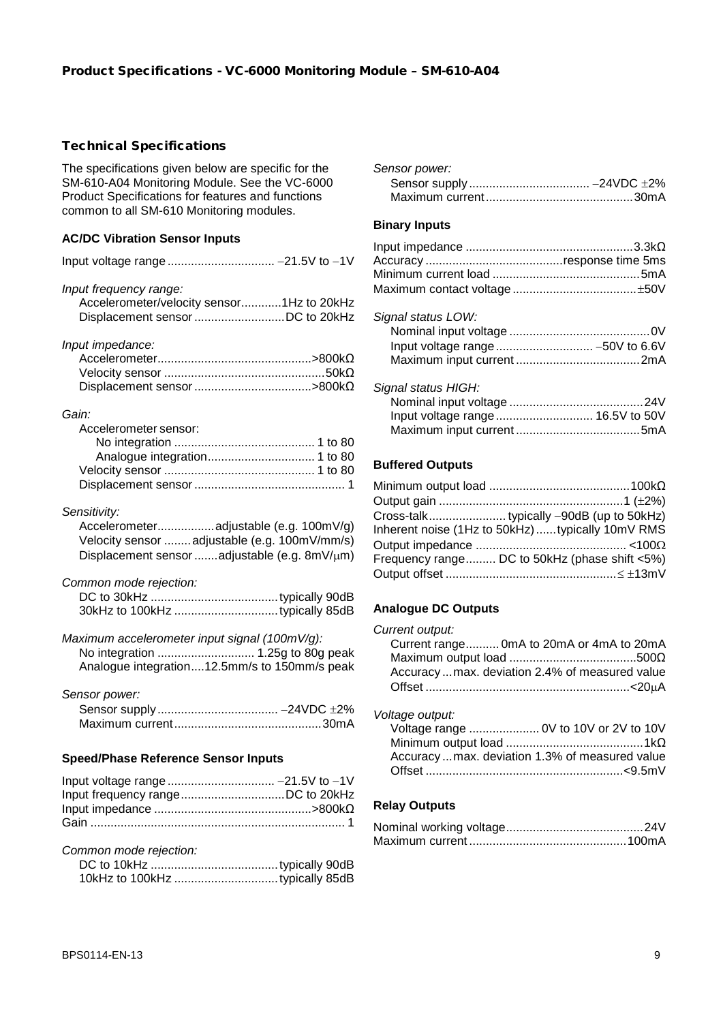## Technical Specifications

The specifications given below are specific for the SM-610-A04 Monitoring Module. See the VC-6000 Product Specifications for features and functions common to all SM-610 Monitoring modules.

# **AC/DC Vibration Sensor Inputs**

| Input frequency range:                    |  |
|-------------------------------------------|--|
| Accelerometer/velocity sensor1Hz to 20kHz |  |
|                                           |  |

#### *Input impedance:*

| $Accept$ $\mathcal{A}$ $\text{c}$ $\text{c}$ $\text{d}$ $\mathcal{A}$ $\text{c}$ $\text{c}$ $\text{d}$ $\text{c}$ $\text{d}$ $\text{c}$ $\text{d}$ $\text{d}$ $\text{d}$ |  |
|--------------------------------------------------------------------------------------------------------------------------------------------------------------------------|--|
|                                                                                                                                                                          |  |
|                                                                                                                                                                          |  |

#### *Gain:*

| Accelerometer sensor: |  |
|-----------------------|--|
|                       |  |
|                       |  |
|                       |  |
|                       |  |

#### *Sensitivity:*

| Velocity sensor  adjustable (e.g. 100mV/mm/s) |
|-----------------------------------------------|
| Displacement sensor adjustable (e.g. 8mV/µm)  |

#### *Common mode rejection:*

*Maximum accelerometer input signal (100mV/g):* No integration ............................. 1.25g to 80g peak

| Analogue integration12.5mm/s to 150mm/s peak |  |  |
|----------------------------------------------|--|--|

*Sensor power:*

#### **Speed/Phase Reference Sensor Inputs**

#### *Common mode rejection:*

| Sensor power: |  |
|---------------|--|
|               |  |
|               |  |

#### **Binary Inputs**

| Signal status LOW: |  |
|--------------------|--|

| Signal status HIGH: |  |
|---------------------|--|
|                     |  |
|                     |  |
|                     |  |

#### **Buffered Outputs**

| Inherent noise (1Hz to 50kHz) typically 10mV RMS |
|--------------------------------------------------|
|                                                  |
| Frequency range DC to 50kHz (phase shift <5%)    |
|                                                  |
|                                                  |

#### **Analogue DC Outputs**

| Current output:                                 |  |
|-------------------------------------------------|--|
| Current range OmA to 20mA or 4mA to 20mA        |  |
|                                                 |  |
| Accuracy  max. deviation 2.4% of measured value |  |
|                                                 |  |
|                                                 |  |

| Voltage output: |  |
|-----------------|--|
| Valtage range   |  |

| mago oaipat.                                  |  |
|-----------------------------------------------|--|
| Voltage range  OV to 10V or 2V to 10V         |  |
|                                               |  |
| Accuracymax. deviation 1.3% of measured value |  |
|                                               |  |
|                                               |  |

# **Relay Outputs**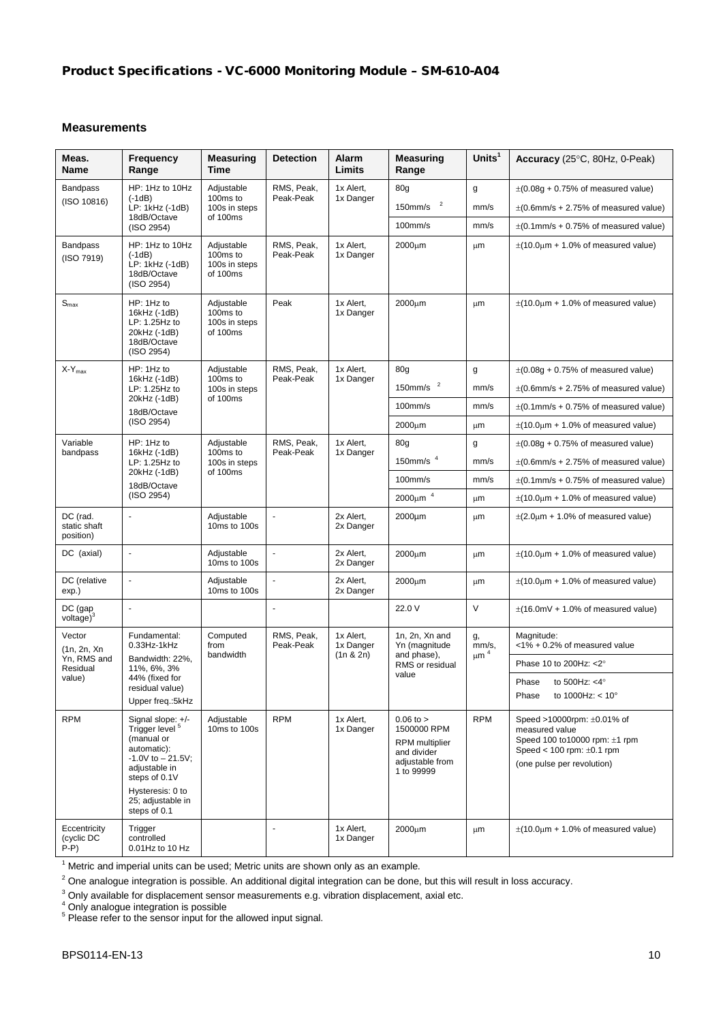# **Measurements**

| Meas.<br><b>Name</b>                             | Frequency<br>Range                                                                                                                                                                               | <b>Measuring</b><br>Time                            | <b>Detection</b>        | Alarm<br>Limits                       | <b>Measuring</b><br>Range                                                                             | Units $1$                                 | Accuracy (25°C, 80Hz, 0-Peak)                                                                                                                         |          |                         |                        |                                 |             |                                            |
|--------------------------------------------------|--------------------------------------------------------------------------------------------------------------------------------------------------------------------------------------------------|-----------------------------------------------------|-------------------------|---------------------------------------|-------------------------------------------------------------------------------------------------------|-------------------------------------------|-------------------------------------------------------------------------------------------------------------------------------------------------------|----------|-------------------------|------------------------|---------------------------------|-------------|--------------------------------------------|
| Bandpass                                         | HP: 1Hz to 10Hz                                                                                                                                                                                  | Adjustable                                          | RMS, Peak,              | 1x Alert,                             | 80 <sub>g</sub>                                                                                       | g                                         | $\pm (0.08g + 0.75\% \text{ of measured value})$                                                                                                      |          |                         |                        |                                 |             |                                            |
| $(-1dB)$<br>(ISO 10816)<br>LP: 1kHz (-1dB)       | 100ms to<br>100s in steps                                                                                                                                                                        | Peak-Peak                                           | 1x Danger               | $\overline{\mathbf{c}}$<br>$150$ mm/s | mm/s                                                                                                  | $\pm$ (0.6mm/s + 2.75% of measured value) |                                                                                                                                                       |          |                         |                        |                                 |             |                                            |
|                                                  | 18dB/Octave<br>(ISO 2954)                                                                                                                                                                        | of 100ms                                            |                         |                                       | $100$ mm/s                                                                                            | mm/s                                      | $\pm$ (0.1mm/s + 0.75% of measured value)                                                                                                             |          |                         |                        |                                 |             |                                            |
| <b>Bandpass</b><br>(ISO 7919)                    | HP: 1Hz to 10Hz<br>$(-1dB)$<br>LP: 1kHz (-1dB)<br>18dB/Octave<br>(ISO 2954)                                                                                                                      | Adjustable<br>100ms to<br>100s in steps<br>of 100ms | RMS, Peak,<br>Peak-Peak | 1x Alert,<br>1x Danger                | $2000 \mu m$                                                                                          | μm                                        | $\pm$ (10.0 $\mu$ m + 1.0% of measured value)                                                                                                         |          |                         |                        |                                 |             |                                            |
| $S_{\sf max}$                                    | HP: 1Hz to<br>16kHz (-1dB)<br>LP: 1.25Hz to<br>20kHz (-1dB)<br>18dB/Octave<br>(ISO 2954)                                                                                                         | Adjustable<br>100ms to<br>100s in steps<br>of 100ms | Peak                    | 1x Alert,<br>1x Danger                | $2000 \mu m$                                                                                          | μm                                        | $\pm$ (10.0 $\mu$ m + 1.0% of measured value)                                                                                                         |          |                         |                        |                                 |             |                                            |
| $X-Y_{max}$                                      | HP: 1Hz to<br>16kHz (-1dB)                                                                                                                                                                       | Adjustable<br>100ms to                              | RMS, Peak,<br>Peak-Peak | 1x Alert,<br>1x Danger                | 80 <sub>g</sub>                                                                                       | g                                         | $\pm (0.08g + 0.75\% \text{ of measured value})$                                                                                                      |          |                         |                        |                                 |             |                                            |
|                                                  | LP: 1.25Hz to                                                                                                                                                                                    | 100s in steps                                       |                         |                                       | 150mm/s $2$                                                                                           | mm/s                                      | $\pm$ (0.6mm/s + 2.75% of measured value)                                                                                                             |          |                         |                        |                                 |             |                                            |
|                                                  | 20kHz (-1dB)<br>18dB/Octave                                                                                                                                                                      | of 100ms                                            |                         |                                       | $100$ mm/s                                                                                            | mm/s                                      | $\pm$ (0.1mm/s + 0.75% of measured value)                                                                                                             |          |                         |                        |                                 |             |                                            |
|                                                  | (ISO 2954)                                                                                                                                                                                       |                                                     |                         |                                       | $2000 \mu m$                                                                                          | μm                                        | $\pm$ (10.0 $\mu$ m + 1.0% of measured value)                                                                                                         |          |                         |                        |                                 |             |                                            |
| Variable<br>bandpass                             | HP: 1Hz to<br>16kHz (-1dB)                                                                                                                                                                       | Adjustable<br>100 <sub>ms</sub> to                  | RMS, Peak,<br>Peak-Peak | 1x Alert,<br>1x Danger                | 80 <sub>g</sub>                                                                                       | g                                         | $\pm (0.08g + 0.75\% \text{ of measured value})$                                                                                                      |          |                         |                        |                                 |             |                                            |
|                                                  | LP: 1.25Hz to                                                                                                                                                                                    | 100s in steps<br>of 100ms                           |                         |                                       | 150mm/s $4$                                                                                           | mm/s                                      | $\pm$ (0.6mm/s + 2.75% of measured value)                                                                                                             |          |                         |                        |                                 |             |                                            |
|                                                  | 20kHz (-1dB)<br>18dB/Octave                                                                                                                                                                      |                                                     |                         |                                       | $100$ mm/s                                                                                            | mm/s                                      | $\pm$ (0.1mm/s + 0.75% of measured value)                                                                                                             |          |                         |                        |                                 |             |                                            |
|                                                  | (ISO 2954)                                                                                                                                                                                       |                                                     |                         |                                       | $2000 \mu m$ <sup>4</sup>                                                                             | μm                                        | $\pm$ (10.0 $\mu$ m + 1.0% of measured value)                                                                                                         |          |                         |                        |                                 |             |                                            |
| DC (rad.<br>static shaft<br>position)            | $\omega$                                                                                                                                                                                         | Adjustable<br>10ms to 100s                          | $\blacksquare$          | 2x Alert,<br>2x Danger                | 2000µm                                                                                                | μm                                        | $\pm$ (2.0 $\mu$ m + 1.0% of measured value)                                                                                                          |          |                         |                        |                                 |             |                                            |
| DC (axial)                                       | $\bar{\phantom{a}}$                                                                                                                                                                              | Adjustable<br>10ms to 100s                          | $\mathbf{r}$            | 2x Alert,<br>2x Danger                | 2000um                                                                                                | μm                                        | $\pm$ (10.0 $\mu$ m + 1.0% of measured value)                                                                                                         |          |                         |                        |                                 |             |                                            |
| DC (relative<br>exp.)                            | ÷,                                                                                                                                                                                               | Adjustable<br>10ms to 100s                          |                         | 2x Alert,<br>2x Danger                | 2000µm                                                                                                | μm                                        | $\pm$ (10.0 $\mu$ m + 1.0% of measured value)                                                                                                         |          |                         |                        |                                 |             |                                            |
| DC (gap<br>voltage $)^3$                         |                                                                                                                                                                                                  |                                                     |                         |                                       | 22.0 V                                                                                                | $\vee$                                    | $\pm$ (16.0mV + 1.0% of measured value)                                                                                                               |          |                         |                        |                                 |             |                                            |
| Vector<br>(1n, 2n, Xn                            | Fundamental:<br>$0.33$ Hz-1 $k$ Hz<br>Bandwidth: 22%,<br>11%, 6%, 3%<br>44% (fixed for<br>residual value)<br>Upper freq.:5kHz                                                                    |                                                     |                         |                                       |                                                                                                       |                                           | from                                                                                                                                                  | Computed | RMS, Peak,<br>Peak-Peak | 1x Alert,<br>1x Danger | 1n, 2n, Xn and<br>Yn (magnitude | g,<br>mm/s, | Magnitude:<br><1% + 0.2% of measured value |
| Yn, RMS and<br>Residual                          |                                                                                                                                                                                                  | bandwidth                                           |                         | (1n & 2n)                             | and phase),<br>RMS or residual<br>value                                                               | $\mu$ m <sup>4</sup>                      | Phase 10 to 200Hz: < 2°                                                                                                                               |          |                         |                        |                                 |             |                                            |
| value)                                           |                                                                                                                                                                                                  |                                                     |                         |                                       |                                                                                                       |                                           | Phase<br>to 500Hz: $<$ 4 $\degree$<br>to 1000Hz: < 10°<br>Phase                                                                                       |          |                         |                        |                                 |             |                                            |
| <b>RPM</b>                                       | Signal slope: +/-<br>Trigger level <sup>5</sup><br>(manual or<br>automatic):<br>$-1.0V$ to $-21.5V$ ;<br>adjustable in<br>steps of 0.1V<br>Hysteresis: 0 to<br>25: adiustable in<br>steps of 0.1 | Adjustable<br>10ms to 100s                          | <b>RPM</b>              | 1x Alert,<br>1x Danger                | $0.06$ to $>$<br>1500000 RPM<br><b>RPM</b> multiplier<br>and divider<br>adjustable from<br>1 to 99999 | <b>RPM</b>                                | Speed >10000rpm: ±0.01% of<br>measured value<br>Speed 100 to 10000 rpm: $\pm$ 1 rpm<br>Speed < $100$ rpm: $\pm 0.1$ rpm<br>(one pulse per revolution) |          |                         |                        |                                 |             |                                            |
| Eccentricity<br>(cyclic DC<br>$\overline{P} - P$ | Trigger<br>controlled<br>0.01Hz to 10 Hz                                                                                                                                                         |                                                     | ÷,                      | 1x Alert,<br>1x Danger                | 2000um                                                                                                | μm                                        | $\pm$ (10.0 $\mu$ m + 1.0% of measured value)                                                                                                         |          |                         |                        |                                 |             |                                            |

 $<sup>1</sup>$  Metric and imperial units can be used; Metric units are shown only as an example.</sup>

 $2$  One analogue integration is possible. An additional digital integration can be done, but this will result in loss accuracy.

 $3$  Only available for displacement sensor measurements e.g. vibration displacement, axial etc.

<sup>4</sup> Only analogue integration is possible

<sup>5</sup> Please refer to the sensor input for the allowed input signal.